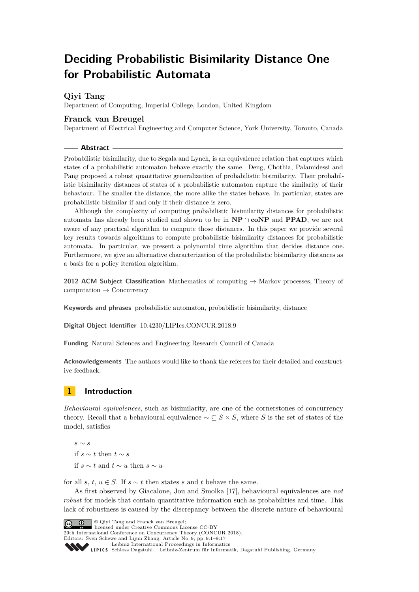# **Deciding Probabilistic Bisimilarity Distance One for Probabilistic Automata**

# **Qiyi Tang**

Department of Computing, Imperial College, London, United Kingdom

# **Franck van Breugel**

Department of Electrical Engineering and Computer Science, York University, Toronto, Canada

**Abstract**

Probabilistic bisimilarity, due to Segala and Lynch, is an equivalence relation that captures which states of a probabilistic automaton behave exactly the same. Deng, Chothia, Palamidessi and Pang proposed a robust quantitative generalization of probabilistic bisimilarity. Their probabilistic bisimilarity distances of states of a probabilistic automaton capture the similarity of their behaviour. The smaller the distance, the more alike the states behave. In particular, states are probabilistic bisimilar if and only if their distance is zero.

Although the complexity of computing probabilistic bisimilarity distances for probabilistic automata has already been studied and shown to be in **NP** ∩ **coNP** and **PPAD**, we are not aware of any practical algorithm to compute those distances. In this paper we provide several key results towards algorithms to compute probabilistic bisimilarity distances for probabilistic automata. In particular, we present a polynomial time algorithm that decides distance one. Furthermore, we give an alternative characterization of the probabilistic bisimilarity distances as a basis for a policy iteration algorithm.

**2012 ACM Subject Classification** Mathematics of computing → Markov processes, Theory of computation → Concurrency

**Keywords and phrases** probabilistic automaton, probabilistic bisimilarity, distance

**Digital Object Identifier** [10.4230/LIPIcs.CONCUR.2018.9](http://dx.doi.org/10.4230/LIPIcs.CONCUR.2018.9)

**Funding** Natural Sciences and Engineering Research Council of Canada

**Acknowledgements** The authors would like to thank the referees for their detailed and constructive feedback.

# **1 Introduction**

*Behavioural equivalences*, such as bisimilarity, are one of the cornerstones of concurrency theory. Recall that a behavioural equivalence  $\sim \subseteq S \times S$ , where *S* is the set of states of the model, satisfies

*s* ∼ *s* if *s* ∼ *t* then *t* ∼ *s* if *s* ∼ *t* and *t* ∼ *u* then *s* ∼ *u*

for all *s*, *t*,  $u \in S$ . If  $s \sim t$  then states *s* and *t* behave the same.

As first observed by Giacalone, Jou and Smolka [\[17\]](#page-15-0), behavioural equivalences are *not robust* for models that contain quantitative information such as probabilities and time. This lack of robustness is caused by the discrepancy between the discrete nature of behavioural

© Qiyi Tang and Franck van Breugel;

**29th International Conference on Concurrency Theory (CONCUR 2018).** 

Editors: Sven Schewe and Lijun Zhang; Article No. 9; pp. 9:1–9[:17](#page-16-0)

[Leibniz International Proceedings in Informatics](http://www.dagstuhl.de/lipics/) Leibniz international riveredings in miximetrix<br>
LIPICS [Schloss Dagstuhl – Leibniz-Zentrum für Informatik, Dagstuhl Publishing, Germany](http://www.dagstuhl.de)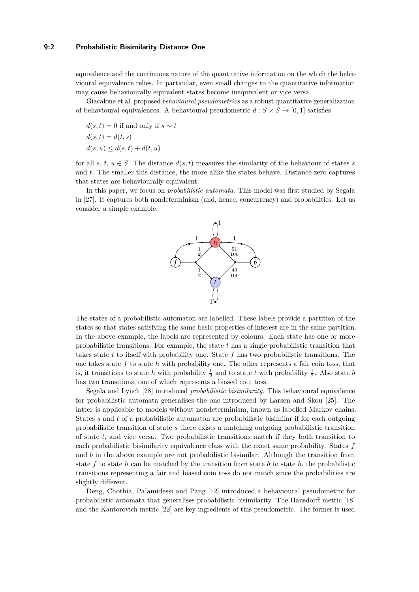# **9:2 Probabilistic Bisimilarity Distance One**

equivalence and the continuous nature of the quantitative information on the which the behavioural equivalence relies. In particular, even small changes to the quantitative information may cause behaviourally equivalent states become inequivalent or vice versa.

Giacalone et al. proposed *behavioural pseudometrics* as a robust quantitative generalization of behavioural equivalences. A behavioural pseudometric  $d : S \times S \rightarrow [0,1]$  satisfies

 $d(s,t) = 0$  if and only if  $s \sim t$  $d(s, t) = d(t, s)$  $d(s, u) \leq d(s, t) + d(t, u)$ 

for all *s*,  $t, u \in S$ . The distance  $d(s, t)$  measures the similarity of the behaviour of states *s* and *t*. The smaller this distance, the more alike the states behave. Distance zero captures that states are behaviourally equivalent.

In this paper, we focus on *probabilistic automata*. This model was first studied by Segala in [\[27\]](#page-16-1). It captures both nondeterminism (and, hence, concurrency) and probabilities. Let us consider a simple example.



The states of a probabilistic automaton are labelled. These labels provide a partition of the states so that states satisfying the same basic properties of interest are in the same partition. In the above example, the labels are represented by colours. Each state has one or more probabilistic transitions. For example, the state *t* has a single probabilistic transition that takes state *t* to itself with probability one. State *f* has two probabilistic transitions. The one takes state *f* to state *h* with probability one. The other represents a fair coin toss, that is, it transitions to state *h* with probability  $\frac{1}{2}$  and to state *t* with probability  $\frac{1}{2}$ . Also state *b* has two transitions, one of which represents a biased coin toss.

Segala and Lynch [\[28\]](#page-16-2) introduced *probabilistic bisimilarity*. This behavioural equivalence for probabilistic automata generalises the one introduced by Larsen and Skou [\[25\]](#page-16-3). The latter is applicable to models without nondeterminism, known as labelled Markov chains. States *s* and *t* of a probabilistic automaton are probabilistic bisimilar if for each outgoing probabilistic transition of state *s* there exists a matching outgoing probabilistic transition of state *t*, and vice versa. Two probabilistic transitions match if they both transition to each probabilistic bisimilarity equivalence class with the exact same probability. States *f* and *b* in the above example are not probabilistic bisimilar. Although the transition from state  $f$  to state  $h$  can be matched by the transition from state  $b$  to state  $h$ , the probabilistic transitions representing a fair and biased coin toss do not match since the probabilities are slightly different.

Deng, Chothia, Palamidessi and Pang [\[12\]](#page-15-1) introduced a behavioural pseudometric for probabilistic automata that generalises probabilistic bisimilarity. The Hausdorff metric [\[18\]](#page-15-2) and the Kantorovich metric [\[22\]](#page-16-4) are key ingredients of this pseudometric. The former is used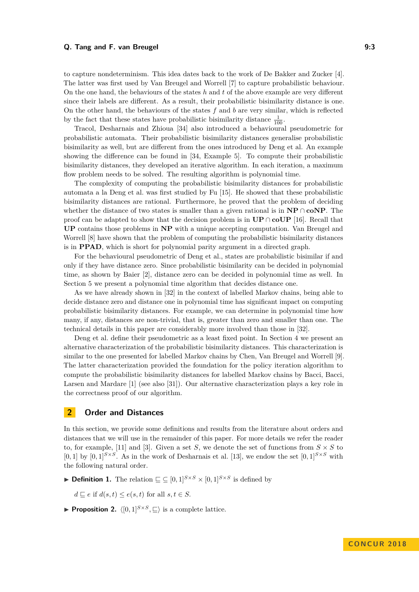### **Q. Tang and F. van Breugel 9:3**

to capture nondeterminism. This idea dates back to the work of De Bakker and Zucker [\[4\]](#page-15-3). The latter was first used by Van Breugel and Worrell [\[7\]](#page-15-4) to capture probabilistic behaviour. On the one hand, the behaviours of the states *h* and *t* of the above example are very different since their labels are different. As a result, their probabilistic bisimilarity distance is one. On the other hand, the behaviours of the states *f* and *b* are very similar, which is reflected by the fact that these states have probabilistic bisimilarity distance  $\frac{1}{100}$ .

Tracol, Desharnais and Zhioua [\[34\]](#page-16-5) also introduced a behavioural pseudometric for probabilistic automata. Their probabilistic bisimilarity distances generalise probabilistic bisimilarity as well, but are different from the ones introduced by Deng et al. An example showing the difference can be found in [\[34,](#page-16-5) Example 5]. To compute their probabilistic bisimilarity distances, they developed an iterative algorithm. In each iteration, a maximum flow problem needs to be solved. The resulting algorithm is polynomial time.

The complexity of computing the probabilistic bisimilarity distances for probabilistic automata a la Deng et al. was first studied by Fu [\[15\]](#page-15-5). He showed that these probabilistic bisimilarity distances are rational. Furthermore, he proved that the problem of deciding whether the distance of two states is smaller than a given rational is in **NP** ∩ **coNP**. The proof can be adapted to show that the decision problem is in **UP** ∩ **coUP** [\[16\]](#page-15-6). Recall that **UP** contains those problems in **NP** with a unique accepting computation. Van Breugel and Worrell [\[8\]](#page-15-7) have shown that the problem of computing the probabilistic bisimilarity distances is in **PPAD**, which is short for polynomial parity argument in a directed graph.

For the behavioural pseudometric of Deng et al., states are probabilistic bisimilar if and only if they have distance zero. Since probabilistic bisimilarity can be decided in polynomial time, as shown by Baier [\[2\]](#page-14-0), distance zero can be decided in polynomial time as well. In Section [5](#page-10-0) we present a polynomial time algorithm that decides distance one.

As we have already shown in [\[32\]](#page-16-6) in the context of labelled Markov chains, being able to decide distance zero and distance one in polynomial time has significant impact on computing probabilistic bisimilarity distances. For example, we can determine in polynomial time how many, if any, distances are non-trivial, that is, greater than zero and smaller than one. The technical details in this paper are considerably more involved than those in [\[32\]](#page-16-6).

Deng et al. define their pseudometric as a least fixed point. In Section [4](#page-5-0) we present an alternative characterization of the probabilistic bisimilarity distances. This characterization is similar to the one presented for labelled Markov chains by Chen, Van Breugel and Worrell [\[9\]](#page-15-8). The latter characterization provided the foundation for the policy iteration algorithm to compute the probabilistic bisimilarity distances for labelled Markov chains by Bacci, Bacci, Larsen and Mardare [\[1\]](#page-14-1) (see also [\[31\]](#page-16-7)). Our alternative characterization plays a key role in the correctness proof of our algorithm.

# **2 Order and Distances**

In this section, we provide some definitions and results from the literature about orders and distances that we will use in the remainder of this paper. For more details we refer the reader to, for example, [\[11\]](#page-15-9) and [\[3\]](#page-14-2). Given a set *S*, we denote the set of functions from  $S \times S$  to  $[0,1]$  by  $[0,1]^{S\times S}$ . As in the work of Desharnais et al. [\[13\]](#page-15-10), we endow the set  $[0,1]^{S\times S}$  with the following natural order.

▶ **Definition 1.** The relation  $\subseteq$   $\subseteq$   $[0,1]^{S\times S} \times [0,1]^{S\times S}$  is defined by

 $d \sqsubseteq e$  if  $d(s, t) \leq e(s, t)$  for all  $s, t \in S$ .

<span id="page-2-0"></span>**Proposition 2.**  $\langle [0, 1]^{S \times S}, \sqsubseteq \rangle$  is a complete lattice.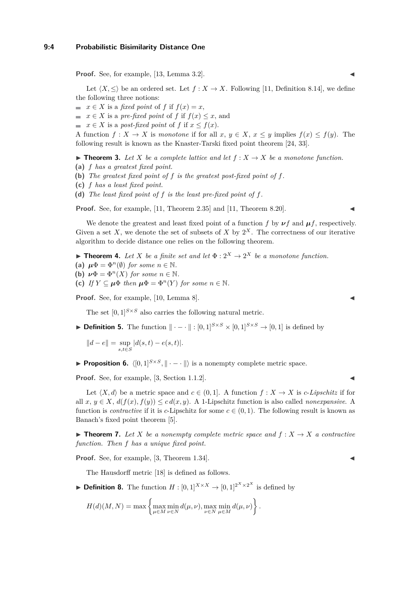#### **9:4 Probabilistic Bisimilarity Distance One**

**Proof.** See, for example, [\[13,](#page-15-10) Lemma 3.2].

Let  $\langle X, \leq \rangle$  be an ordered set. Let  $f : X \to X$ . Following [\[11,](#page-15-9) Definition 8.14], we define the following three notions:

- $\blacksquare$  *x* ∈ *X* is a *fixed point* of *f* if  $f(x) = x$ ,
- $\blacksquare$  *x* ∈ *X* is a *pre-fixed point* of *f* if  $f(x) \leq x$ , and
- $\blacksquare$  *x* ∈ *X* is a *post-fixed point* of *f* if *x* ≤ *f*(*x*).

A function  $f: X \to X$  is *monotone* if for all  $x, y \in X, x \leq y$  implies  $f(x) \leq f(y)$ . The following result is known as the Knaster-Tarski fixed point theorem [\[24,](#page-16-8) [33\]](#page-16-9).

<span id="page-3-0"></span>▶ **Theorem 3.** Let *X* be a complete lattice and let  $f : X \rightarrow X$  be a monotone function.

- **(a)** *f has a greatest fixed point.*
- **(b)** *The greatest fixed point of f is the greatest post-fixed point of f.*
- **(c)** *f has a least fixed point.*
- **(d)** *The least fixed point of f is the least pre-fixed point of f.*

**Proof.** See, for example, [\[11,](#page-15-9) Theorem 2.35] and [11, Theorem 8.20].

We denote the greatest and least fixed point of a function *f* by  $\nu f$  and  $\mu f$ , respectively. Given a set X, we denote the set of subsets of X by  $2^X$ . The correctness of our iterative algorithm to decide distance one relies on the following theorem.

<span id="page-3-3"></span>**Theorem 4.** Let *X* be a finite set and let  $\Phi: 2^X \to 2^X$  be a monotone function.

- **(a)**  $\mu \Phi = \Phi^n(\emptyset)$  *for some*  $n \in \mathbb{N}$ .
- **(b)**  $\nu \Phi = \Phi^n(X)$  *for some*  $n \in \mathbb{N}$ *.*
- **(c)** *If*  $Y \subseteq \mu \Phi$  *then*  $\mu \Phi = \Phi^n(Y)$  *for some*  $n \in \mathbb{N}$ *.*

Proof. See, for example, [\[10,](#page-15-11) Lemma 8].

The set  $[0, 1]^{S \times S}$  also carries the following natural metric.

**▶ Definition 5.** The function  $\|\cdot - \cdot\| : [0,1]^{S \times S} \times [0,1]^{S \times S} \rightarrow [0,1]$  is defined by

 $||d - e|| = \sup_{s,t \in S} |d(s,t) - e(s,t)|.$ 

<span id="page-3-1"></span>**Proposition 6.**  $\langle [0,1]^{S\times S}, \| \cdot - \cdot \| \rangle$  is a nonempty complete metric space.

**Proof.** See, for example,  $[3, \text{Section 1.1.2}].$  $[3, \text{Section 1.1.2}].$ 

Let  $\langle X, d \rangle$  be a metric space and  $c \in (0, 1]$ . A function  $f : X \to X$  is *c*-*Lipschitz* if for all  $x, y \in X$ ,  $d(f(x), f(y)) \leq c d(x, y)$ . A 1-Lipschitz function is also called *nonexpansive*. A function is *contractive* if it is *c*-Lipschitz for some  $c \in (0,1)$ . The following result is known as Banach's fixed point theorem [\[5\]](#page-15-12).

<span id="page-3-2"></span> $\blacktriangleright$  **Theorem 7.** Let *X* be a nonempty complete metric space and  $f: X \to X$  a contractive *function. Then f has a unique fixed point.*

**Proof.** See, for example, [\[3,](#page-14-2) Theorem 1.34].

The Hausdorff metric [\[18\]](#page-15-2) is defined as follows.

▶ **Definition 8.** The function  $H : [0,1]^{X \times X} \rightarrow [0,1]^{2^X \times 2^X}$  is defined by

$$
H(d)(M, N) = \max \left\{ \max_{\mu \in M} \min_{\nu \in N} d(\mu, \nu), \max_{\nu \in N} \min_{\mu \in M} d(\mu, \nu) \right\}.
$$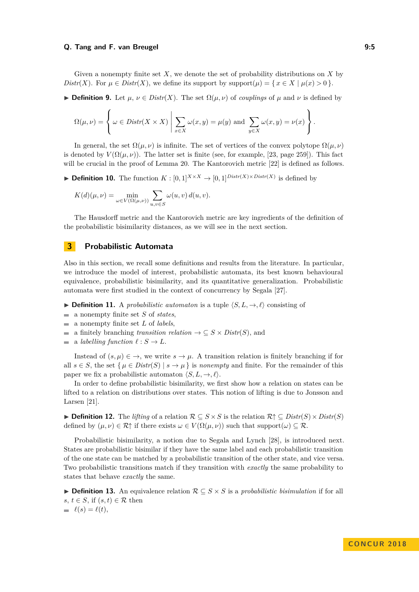#### **Q. Tang and F. van Breugel 9:5**

Given a nonempty finite set *X*, we denote the set of probability distributions on *X* by *Distr*(*X*). For  $\mu \in Distr(X)$ , we define its support by support $(\mu) = \{x \in X \mid \mu(x) > 0\}$ .

 $\triangleright$  **Definition 9.** Let *µ*, *ν* ∈ *Distr*(*X*). The set  $\Omega(\mu, \nu)$  of *couplings* of *µ* and *ν* is defined by

$$
\Omega(\mu, \nu) = \left\{ \omega \in Distr(X \times X) \mid \sum_{x \in X} \omega(x, y) = \mu(y) \text{ and } \sum_{y \in X} \omega(x, y) = \nu(x) \right\}.
$$

In general, the set  $\Omega(\mu, \nu)$  is infinite. The set of vertices of the convex polytope  $\Omega(\mu, \nu)$ is denoted by  $V(\Omega(\mu,\nu))$ . The latter set is finite (see, for example, [\[23,](#page-16-10) page 259]). This fact will be crucial in the proof of Lemma [20.](#page-7-0) The Kantorovich metric [\[22\]](#page-16-4) is defined as follows.

▶ **Definition 10.** The function  $K : [0,1]^{X \times X} \rightarrow [0,1]^{Distr(X) \times Distr(X)}$  is defined by

$$
K(d)(\mu, \nu) = \min_{\omega \in V(\Omega(\mu, \nu))} \sum_{u, v \in S} \omega(u, v) d(u, v).
$$

The Hausdorff metric and the Kantorovich metric are key ingredients of the definition of the probabilistic bisimilarity distances, as we will see in the next section.

# **3 Probabilistic Automata**

Also in this section, we recall some definitions and results from the literature. In particular, we introduce the model of interest, probabilistic automata, its best known behavioural equivalence, probabilistic bisimilarity, and its quantitative generalization. Probabilistic automata were first studied in the context of concurrency by Segala [\[27\]](#page-16-1).

- **Definition 11.** A *probabilistic automaton* is a tuple  $\langle S, L, \rightarrow, \ell \rangle$  consisting of
- a nonempty finite set *S* of *states*,  $\frac{1}{2}$
- a nonempty finite set *L* of *labels*,  $\mathbf{r}$
- a finitely branching *transition relation*  $\rightarrow \subseteq S \times Distr(S)$ , and  $\overline{\phantom{a}}$
- a *labelling function*  $\ell : S \to L$ .  $\blacksquare$

Instead of  $(s, \mu) \in \rightarrow$ , we write  $s \rightarrow \mu$ . A transition relation is finitely branching if for all  $s \in S$ , the set  $\{\mu \in Dist(S) \mid s \to \mu\}$  is *nonempty* and finite. For the remainder of this paper we fix a probabilistic automaton  $\langle S, L, \rightarrow, \ell \rangle$ .

In order to define probabilistic bisimilarity, we first show how a relation on states can be lifted to a relation on distributions over states. This notion of lifting is due to Jonsson and Larsen [\[21\]](#page-15-13).

**► Definition 12.** The *lifting* of a relation  $\mathcal{R} \subseteq S \times S$  is the relation  $\mathcal{R} \uparrow \subseteq Dist(\cap S) \times Dist(\cap S)$ defined by  $(\mu, \nu) \in \mathcal{R}^{\uparrow}$  if there exists  $\omega \in V(\Omega(\mu, \nu))$  such that support $(\omega) \subseteq \mathcal{R}$ .

Probabilistic bisimilarity, a notion due to Segala and Lynch [\[28\]](#page-16-2), is introduced next. States are probabilistic bisimilar if they have the same label and each probabilistic transition of the one state can be matched by a probabilistic transition of the other state, and vice versa. Two probabilistic transitions match if they transition with *exactly* the same probability to states that behave *exactly* the same.

**► Definition 13.** An equivalence relation  $\mathcal{R} \subseteq S \times S$  is a *probabilistic bisimulation* if for all *s*, *t* ∈ *S*, if  $(s, t)$  ∈ **R** then  $\ell(s) = \ell(t),$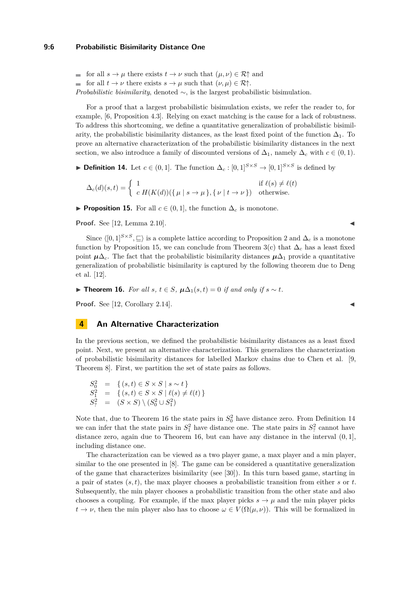#### **9:6 Probabilistic Bisimilarity Distance One**

for all  $s \to \mu$  there exists  $t \to \nu$  such that  $(\mu, \nu) \in \mathcal{R}^+$  and for all  $t \to \nu$  there exists  $s \to \mu$  such that  $(\nu, \mu) \in \mathcal{R} \uparrow$ . *Probabilistic bisimilarity*, denoted  $\sim$ , is the largest probabilistic bisimulation.

For a proof that a largest probabilistic bisimulation exists, we refer the reader to, for example, [\[6,](#page-15-14) Proposition 4.3]. Relying on exact matching is the cause for a lack of robustness. To address this shortcoming, we define a quantitative generalization of probabilistic bisimilarity, the probabilistic bisimilarity distances, as the least fixed point of the function  $\Delta_1$ . To prove an alternative characterization of the probabilistic bisimilarity distances in the next section, we also introduce a family of discounted versions of  $\Delta_1$ , namely  $\Delta_c$  with  $c \in (0,1)$ .

<span id="page-5-3"></span>**► Definition 14.** Let  $c \in (0,1]$ . The function  $\Delta_c : [0,1]^{S \times S} \rightarrow [0,1]^{S \times S}$  is defined by

$$
\Delta_c(d)(s,t) = \left\{ \begin{array}{ll} 1 & \mbox{if } \ell(s) \neq \ell(t) \\ c \; H(K(d)) (\{ \, \mu \mid s \rightarrow \mu \, \} , \{ \, \nu \mid t \rightarrow \nu \, \} ) & \mbox{otherwise.} \end{array} \right.
$$

<span id="page-5-1"></span>**► Proposition 15.** For all  $c \in (0,1]$ , the function  $\Delta_c$  is monotone.

**Proof.** See [\[12,](#page-15-1) Lemma 2.10].

Since  $\langle [0, 1]^{S \times S}, \subseteq \rangle$  is a complete lattice according to Proposition [2](#page-2-0) and  $\Delta_c$  is a monotone function by Proposition [15,](#page-5-1) we can conclude from Theorem [3\(](#page-3-0)c) that  $\Delta_c$  has a least fixed point  $\mu\Delta_c$ . The fact that the probabilistic bisimilarity distances  $\mu\Delta_1$  provide a quantitative generalization of probabilistic bisimilarity is captured by the following theorem due to Deng et al. [\[12\]](#page-15-1).

<span id="page-5-2"></span>**► Theorem 16.** *For all s*,  $t \in S$ ,  $\mu \Delta_1(s,t) = 0$  *if and only if*  $s \sim t$ *.* 

**Proof.** See [\[12,](#page-15-1) Corollary 2.14].

# <span id="page-5-0"></span>**4 An Alternative Characterization**

In the previous section, we defined the probabilistic bisimilarity distances as a least fixed point. Next, we present an alternative characterization. This generalizes the characterization of probabilistic bisimilarity distances for labelled Markov chains due to Chen et al. [\[9,](#page-15-8) Theorem 8]. First, we partition the set of state pairs as follows.

 $S_0^2 = \{ (s, t) \in S \times S \mid s \sim t \}$  $S_1^2 = \{ (s, t) \in S \times S \mid \ell(s) \neq \ell(t) \}$  $S_?^2 = (S \times S) \setminus (S_0^2 \cup S_1^2)$ 

Note that, due to Theorem [16](#page-5-2) the state pairs in  $S_0^2$  have distance zero. From Definition [14](#page-5-3) we can infer that the state pairs in  $S_1^2$  have distance one. The state pairs in  $S_2^2$  cannot have distance zero, again due to Theorem [16,](#page-5-2) but can have any distance in the interval (0*,* 1], including distance one.

The characterization can be viewed as a two player game, a max player and a min player, similar to the one presented in [\[8\]](#page-15-7). The game can be considered a quantitative generalization of the game that characterizes bisimilarity (see [\[30\]](#page-16-11)). In this turn based game, starting in a pair of states (*s, t*), the max player chooses a probabilistic transition from either *s* or *t*. Subsequently, the min player chooses a probabilistic transition from the other state and also chooses a coupling. For example, if the max player picks  $s \to \mu$  and the min player picks  $t \to \nu$ , then the min player also has to choose  $\omega \in V(\Omega(\mu,\nu))$ . This will be formalized in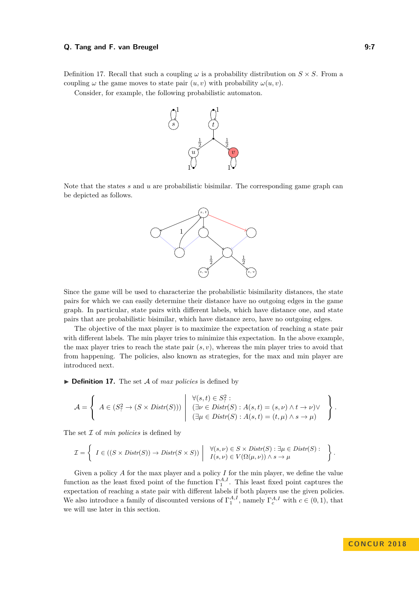#### **Q. Tang and F. van Breugel 6. September 19:7** 19:7

Definition [17.](#page-6-0) Recall that such a coupling  $\omega$  is a probability distribution on  $S \times S$ . From a coupling  $\omega$  the game moves to state pair  $(u, v)$  with probability  $\omega(u, v)$ .

Consider, for example, the following probabilistic automaton.



Note that the states *s* and *u* are probabilistic bisimilar. The corresponding game graph can be depicted as follows.



Since the game will be used to characterize the probabilistic bisimilarity distances, the state pairs for which we can easily determine their distance have no outgoing edges in the game graph. In particular, state pairs with different labels, which have distance one, and state pairs that are probabilistic bisimilar, which have distance zero, have no outgoing edges.

The objective of the max player is to maximize the expectation of reaching a state pair with different labels. The min player tries to minimize this expectation. In the above example, the max player tries to reach the state pair  $(s, v)$ , whereas the min player tries to avoid that from happening. The policies, also known as strategies, for the max and min player are introduced next.

<span id="page-6-0"></span> $\triangleright$  **Definition 17.** The set A of *max policies* is defined by

$$
\mathcal{A} = \left\{ A \in (S^2_? \to (S \times Distr(S))) \mid \begin{array}{l} \forall (s,t) \in S^2_? : \\ (\exists \nu \in Distr(S) : A(s,t) = (s,\nu) \land t \to \nu) \lor \\ (\exists \mu \in Distr(S) : A(s,t) = (t,\mu) \land s \to \mu) \end{array} \right\}.
$$

The set I of *min policies* is defined by

$$
\mathcal{I} = \left\{ I \in ((S \times Distr(S)) \to Distr(S \times S)) \ \middle| \ \begin{array}{l} \forall (s, \nu) \in S \times Distr(S) : \exists \mu \in Distr(S) : \\ I(s, \nu) \in V(\Omega(\mu, \nu)) \land s \to \mu \end{array} \right\}.
$$

Given a policy *A* for the max player and a policy *I* for the min player, we define the value function as the least fixed point of the function  $\Gamma^{A,I}_{1}$ . This least fixed point captures the expectation of reaching a state pair with different labels if both players use the given policies. We also introduce a family of discounted versions of  $\Gamma_1^{A,I}$ , namely  $\Gamma_c^{A,I}$  with  $c \in (0,1)$ , that we will use later in this section.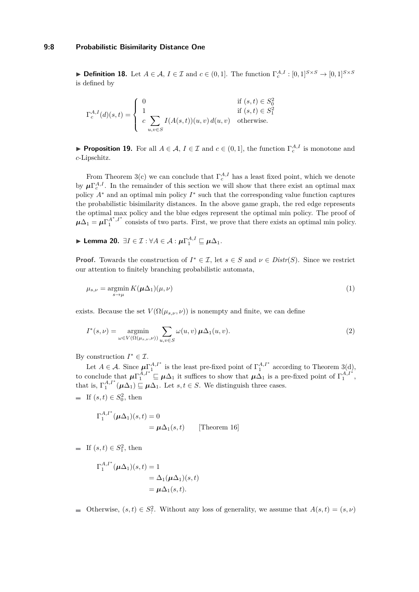► **Definition 18.** Let  $A \in \mathcal{A}$ ,  $I \in \mathcal{I}$  and  $c \in (0,1]$ . The function  $\Gamma_c^{A,I} : [0,1]^{S \times S} \to [0,1]^{S \times S}$ is defined by

$$
\Gamma_c^{A,I}(d)(s,t) = \begin{cases}\n0 & \text{if } (s,t) \in S_0^2 \\
1 & \text{if } (s,t) \in S_1^2 \\
c \sum_{u,v \in S} I(A(s,t))(u,v) d(u,v) & \text{otherwise.} \n\end{cases}
$$

<span id="page-7-3"></span>**Proposition 19.** For all  $A \in \mathcal{A}$ ,  $I \in \mathcal{I}$  and  $c \in (0,1]$ , the function  $\Gamma_c^{A,I}$  is monotone and *c*-Lipschitz.

From Theorem [3\(](#page-3-0)c) we can conclude that  $\Gamma_c^{A,I}$  has a least fixed point, which we denote by  $\mu \Gamma_c^{A,I}$ . In the remainder of this section we will show that there exist an optimal max policy  $A^*$  and an optimal min policy  $I^*$  such that the corresponding value function captures the probabilistic bisimilarity distances. In the above game graph, the red edge represents the optimal max policy and the blue edges represent the optimal min policy. The proof of  $\mu \Delta_1 = \mu \Gamma_1^{A^*,I^*}$  consists of two parts. First, we prove that there exists an optimal min policy.

<span id="page-7-0"></span> $\blacktriangleright$  Lemma 20.  $\exists I \in \mathcal{I} : \forall A \in \mathcal{A} : \mu \Gamma_1^{A,I} \sqsubseteq \mu \Delta_1$ .

**Proof.** Towards the construction of  $I^* \in \mathcal{I}$ , let  $s \in S$  and  $\nu \in Distr(S)$ . Since we restrict our attention to finitely branching probabilistic automata,

<span id="page-7-2"></span>
$$
\mu_{s,\nu} = \underset{s \to \mu}{\operatorname{argmin}} \, K(\mu \Delta_1)(\mu, \nu) \tag{1}
$$

exists. Because the set  $V(\Omega(\mu_{s,\nu}, \nu))$  is nonempty and finite, we can define

<span id="page-7-1"></span>
$$
I^*(s,\nu) = \underset{\omega \in V(\Omega(\mu_{s,\nu},\nu))}{\operatorname{argmin}} \sum_{u,v \in S} \omega(u,v) \mu \Delta_1(u,v). \tag{2}
$$

By construction  $I^* \in \mathcal{I}$ .

Let  $A \in \mathcal{A}$ . Since  $\mu_{i}^{\Lambda, I^*}$  is the least pre-fixed point of  $\Gamma_1^{A, I^*}$  according to Theorem [3\(](#page-3-0)d), to conclude that  $\mu \Gamma_1^{A,I^*} \subseteq \mu \Delta_1$  it suffices to show that  $\mu \Delta_1$  is a pre-fixed point of  $\Gamma_1^{A,I^*}$ , that is,  $\Gamma_1^{A,I^*}(\mu \Delta_1) \subseteq \mu \Delta_1$ . Let  $s, t \in S$ . We distinguish three cases.

If  $(s, t) \in S_0^2$ , then

$$
\Gamma_1^{A,I^*}(\mu \Delta_1)(s,t) = 0
$$
  
=  $\mu \Delta_1(s,t)$  [Theorem 16]

If  $(s, t) \in S_1^2$ , then

$$
\Gamma_1^{A,I^*}(\mu \Delta_1)(s,t) = 1
$$
  
=  $\Delta_1(\mu \Delta_1)(s,t)$   
=  $\mu \Delta_1(s,t)$ .

Otherwise,  $(s, t) \in S_7^2$ . Without any loss of generality, we assume that  $A(s, t) = (s, \nu)$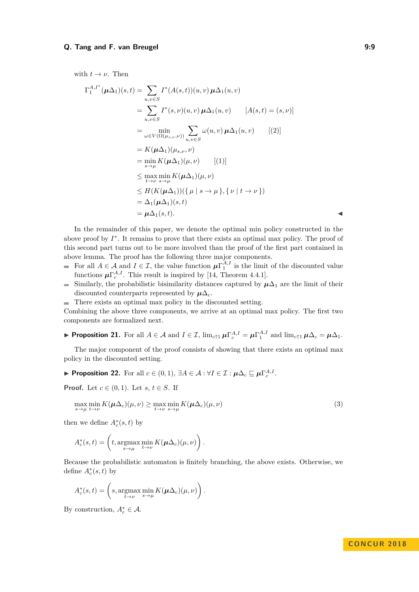# **Q. Tang and F. van Breugel 6: 19:30 COVID-100 COVID-100 COVID-100 COVID-100 COVID-100 COVID-100 COVID-100 COVID-100 COVID-100 COVID-100 COVID-100 COVID-100 COVID-100 COVID-100 COVID-100 COVID-100 COVID-100 COVID-100 COVID**

with  $t \to \nu$ . Then

$$
\Gamma_1^{A,I^*}(\mu \Delta_1)(s,t) = \sum_{u,v \in S} I^*(A(s,t))(u,v) \mu \Delta_1(u,v)
$$
  
\n
$$
= \sum_{u,v \in S} I^*(s,\nu)(u,v) \mu \Delta_1(u,v) \qquad [A(s,t) = (s,\nu)]
$$
  
\n
$$
= \min_{\omega \in V(\Omega(\mu_{s,\nu},\nu))} \sum_{u,v \in S} \omega(u,v) \mu \Delta_1(u,v) \qquad [(2)]
$$
  
\n
$$
= K(\mu \Delta_1)(\mu_{s,\nu},\nu)
$$
  
\n
$$
= \min_{s \to \mu} K(\mu \Delta_1)(\mu,\nu) \qquad [(1)]
$$
  
\n
$$
\leq \max_{t \to \nu} \min_{s \to \mu} K(\mu \Delta_1)(\mu,\nu)
$$
  
\n
$$
\leq H(K(\mu \Delta_1)) (\{\mu \mid s \to \mu\}, \{\nu \mid t \to \nu\})
$$
  
\n
$$
= \Delta_1(\mu \Delta_1)(s,t)
$$
  
\n
$$
= \mu \Delta_1(s,t).
$$

In the remainder of this paper, we denote the optimal min policy constructed in the above proof by  $I^*$ . It remains to prove that there exists an optimal max policy. The proof of this second part turns out to be more involved than the proof of the first part contained in above lemma. The proof has the following three major components.

- For all  $A \in \mathcal{A}$  and  $I \in \mathcal{I}$ , the value function  $\mu \Gamma_1^{A,I}$  is the limit of the discounted value  $\overline{\phantom{a}}$ functions  $\mu \Gamma_c^{A,I}$ . This result is inspired by [\[14,](#page-15-15) Theorem 4.4.1].
- Similarly, the probabilistic bisimilarity distances captured by  $\mu\Delta_1$  are the limit of their  $\blacksquare$ discounted counterparts represented by  $\mu\Delta_c$ .
- There exists an optimal max policy in the discounted setting.

Combining the above three components, we arrive at an optimal max policy. The first two components are formalized next.

<span id="page-8-2"></span>**Proposition 21.** For all  $A \in \mathcal{A}$  and  $I \in \mathcal{I}$ ,  $\lim_{c \uparrow 1} \mu \Gamma_c^{A,I} = \mu \Gamma_1^{A,I}$  and  $\lim_{c \uparrow 1} \mu \Delta_c = \mu \Delta_1$ .

The major component of the proof consists of showing that there exists an optimal max policy in the discounted setting.

<span id="page-8-1"></span>**► Proposition 22.** For all  $c \in (0,1)$ ,  $\exists A \in \mathcal{A} : \forall I \in \mathcal{I} : \mu \Delta_c \sqsubseteq \mu \Gamma_c^{A,I}.$ 

**Proof.** Let  $c \in (0,1)$ . Let  $s, t \in S$ . If

<span id="page-8-0"></span>
$$
\max_{s \to \mu} \min_{t \to \nu} K(\boldsymbol{\mu} \Delta_c)(\mu, \nu) \ge \max_{t \to \nu} \min_{s \to \mu} K(\boldsymbol{\mu} \Delta_c)(\mu, \nu) \tag{3}
$$

then we define  $A_c^*(s,t)$  by

$$
A_c^*(s,t) = \left(t, \underset{s \to \mu}{\operatorname{argmax}} \min_{t \to \nu} K(\mu \Delta_c)(\mu, \nu)\right).
$$

Because the probabilistic automaton is finitely branching, the above exists. Otherwise, we define  $A_c^*(s,t)$  by

$$
A_c^*(s,t) = \left(s, \underset{t \to \nu}{\operatorname{argmax}} \min_{s \to \mu} K(\boldsymbol{\mu} \Delta_c)(\mu, \nu)\right).
$$

By construction,  $A_c^* \in \mathcal{A}$ .

# **CON C U R 2 0 1 8**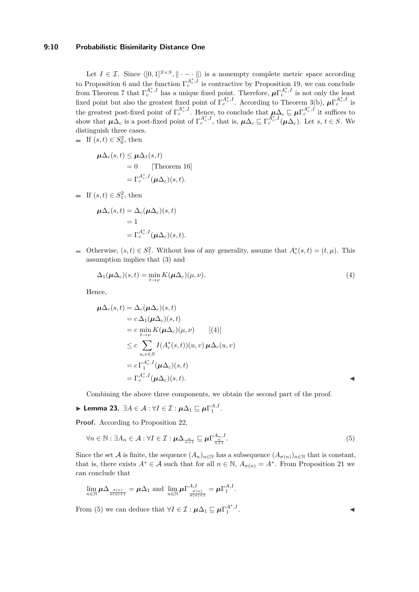# **9:10 Probabilistic Bisimilarity Distance One**

Let  $I \in \mathcal{I}$ . Since  $\langle [0, 1]^{S \times S}, \| \cdot - \cdot \| \rangle$  is a nonempty complete metric space according to Proposition [6](#page-3-1) and the function  $\Gamma_c^{A_c^*,I'}$  is contractive by Proposition [19,](#page-7-3) we can conclude from Theorem [7](#page-3-2) that  $\Gamma_c^{A_c^*,I}$  has a unique fixed point. Therefore,  $\mu \Gamma_c^{A_c^*,I}$  is not only the least fixed point but also the greatest fixed point of  $\Gamma_c^{A_c^*,I}$ . According to Theorem [3\(](#page-3-0)b),  $\mu \Gamma_c^{A_c^*,I}$  is the greatest post-fixed point of  $\Gamma_c^{A_c^*,I}$ . Hence, to conclude that  $\mu\Delta_c \sqsubseteq \mu\Gamma_c^{A_c^*,I}$  it suffices to show that  $\mu\Delta_c$  is a post-fixed point of  $\Gamma_c^{A_c^*,I}$ , that is,  $\mu\Delta_c \sqsubseteq \Gamma_c^{A_c^*,I}(\mu\Delta_c)$ . Let *s*,  $t \in S$ . We distinguish three cases.

If  $(s, t) \in S_0^2$ , then

$$
\mu \Delta_c(s, t) \le \mu \Delta_1(s, t)
$$
  
= 0 [Theorem 16]  
=  $\Gamma_c^{A_c^*, I}(\mu \Delta_c)(s, t).$ 

If  $(s, t) \in S_1^2$ , then

$$
\mu \Delta_c(s, t) = \Delta_c(\mu \Delta_c)(s, t)
$$
  
= 1  
=  $\Gamma_c^{A_c^*,I}(\mu \Delta_c)(s, t)$ .

Otherwise,  $(s, t) \in S_?^2$ . Without loss of any generality, assume that  $A_c^*(s,t) = (t, \mu)$ . This assumption implies that [\(3\)](#page-8-0) and

<span id="page-9-0"></span>
$$
\Delta_1(\boldsymbol{\mu}\Delta_c)(s,t) = \min_{t \to \nu} K(\boldsymbol{\mu}\Delta_c)(\mu,\nu). \tag{4}
$$

Hence,

$$
\mu \Delta_c(s, t) = \Delta_c(\mu \Delta_c)(s, t)
$$
  
=  $c \Delta_1(\mu \Delta_c)(s, t)$   
=  $c \min_{t \to \nu} K(\mu \Delta_c)(\mu, \nu)$  [(4)]  
 $\leq c \sum_{u, v \in S} I(A_c^*(s, t))(u, v) \mu \Delta_c(u, v)$   
=  $c \Gamma_1^{A_c^*, I}(\mu \Delta_c)(s, t)$   
=  $\Gamma_c^{A_c^*, I}(\mu \Delta_c)(s, t).$ 

Combining the above three components, we obtain the second part of the proof.

<span id="page-9-2"></span>
$$
\blacktriangleright \textbf{ Lemma 23. } \exists A \in \mathcal{A} : \forall I \in \mathcal{I} : \mu \Delta_1 \sqsubseteq \mu \Gamma_1^{A,I}.
$$

**Proof.** According to Proposition [22,](#page-8-1)

$$
\forall n \in \mathbb{N}: \exists A_n \in \mathcal{A}: \forall I \in \mathcal{I}: \boldsymbol{\mu}\Delta_{\frac{n}{n+1}} \sqsubseteq \boldsymbol{\mu}\Gamma_{\frac{n}{n+1}}^{A_n, I}.
$$
\n
$$
(5)
$$

Since the set A is finite, the sequence  $(A_n)_{n\in\mathbb{N}}$  has a subsequence  $(A_{\sigma(n)})_{n\in\mathbb{N}}$  that is constant, that is, there exists  $A^* \in \mathcal{A}$  such that for all  $n \in \mathbb{N}$ ,  $A_{\sigma(n)} = A^*$ . From Proposition [21](#page-8-2) we can conclude that

$$
\lim_{n \in \mathbb{N}} \mu \Delta_{\frac{\sigma(n)}{\sigma(n)+1}} = \mu \Delta_1 \text{ and } \lim_{n \in \mathbb{N}} \mu \Gamma_{\frac{\sigma(n)}{\sigma(n)+1}}^{A,I} = \mu \Gamma_1^{A,I}.
$$

From [\(5\)](#page-9-1) we can deduce that  $\forall I \in \mathcal{I} : \mu \Delta_1 \sqsubseteq \mu \Gamma_1^{A^*,I}$ 

<span id="page-9-1"></span>. John Park Research (1986)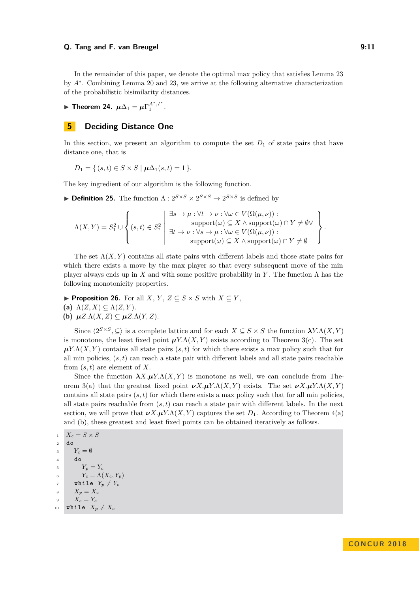#### **Q. Tang and F. van Breugel 12. September 10. September 10. September 10. September 10. September 10. September 10. September 10. September 10. September 10. September 10. September 10. September 10. September 10. Septembe**

In the remainder of this paper, we denote the optimal max policy that satisfies Lemma [23](#page-9-2) by  $A^*$ . Combining Lemma [20](#page-7-0) and [23,](#page-9-2) we arrive at the following alternative characterization of the probabilistic bisimilarity distances.

► Theorem 24.  $\mu \Delta_1 = \mu \Gamma_1^{A^*,I^*}$ .

# <span id="page-10-0"></span>**5 Deciding Distance One**

In this section, we present an algorithm to compute the set  $D_1$  of state pairs that have distance one, that is

$$
D_1 = \{ (s, t) \in S \times S \mid \mu \Delta_1(s, t) = 1 \}.
$$

The key ingredient of our algorithm is the following function.

**Definition 25.** The function  $\Lambda: 2^{S \times S} \times 2^{S \times S} \to 2^{S \times S}$  is defined by

$$
\Lambda(X,Y) = S_1^2 \cup \left\{ (s,t) \in S_7^2 \middle| \begin{array}{l} \exists s \to \mu : \forall t \to \nu : \forall \omega \in V(\Omega(\mu,\nu)) : \\ \text{support}(\omega) \subseteq X \land \text{support}(\omega) \cap Y \neq \emptyset \lor \\ \exists t \to \nu : \forall s \to \mu : \forall \omega \in V(\Omega(\mu,\nu)) : \\ \text{support}(\omega) \subseteq X \land \text{support}(\omega) \cap Y \neq \emptyset \end{array} \right\}.
$$

The set  $\Lambda(X, Y)$  contains all state pairs with different labels and those state pairs for which there exists a move by the max player so that every subsequent move of the min player always ends up in *X* and with some positive probability in *Y*. The function  $\Lambda$  has the following monotonicity properties.

<span id="page-10-1"></span>▶ **Proposition 26.** For all *X*, *Y*, *Z*  $\subseteq$  *S*  $\times$  *S* with *X*  $\subseteq$  *Y*,

(a)  $\Lambda(Z, X) \subseteq \Lambda(Z, Y)$ .

**(b)**  $\mu Z.\Lambda(X,Z) \subseteq \mu Z.\Lambda(Y,Z).$ 

Since  $\langle 2^{S\times S}, \subseteq \rangle$  is a complete lattice and for each  $X \subseteq S \times S$  the function  $\lambda Y.\Lambda(X, Y)$ is monotone, the least fixed point  $\mu Y.\Lambda(X, Y)$  exists according to Theorem [3\(](#page-3-0)c). The set  $\mu$ *Y.* $\Lambda$ (*X,Y*) contains all state pairs (*s, t*) for which there exists a max policy such that for all min policies, (*s, t*) can reach a state pair with different labels and all state pairs reachable from (*s, t*) are element of *X*.

Since the function  $\lambda X. \mu Y. \Lambda(X, Y)$  is monotone as well, we can conclude from The-orem [3\(](#page-3-0)a) that the greatest fixed point  $\nu X.\mu Y.\Lambda(X,Y)$  exists. The set  $\nu X.\mu Y.\Lambda(X,Y)$ contains all state pairs  $(s, t)$  for which there exists a max policy such that for all min policies, all state pairs reachable from  $(s, t)$  can reach a state pair with different labels. In the next section, we will prove that  $\nu X.\mu Y.\Lambda(X, Y)$  captures the set  $D_1$ . According to Theorem [4\(](#page-3-3)a) and (b), these greatest and least fixed points can be obtained iteratively as follows.

```
1 X_c = S \times S2 do
3 Y_c = \emptyset4 do
Y_p = Y_c6 Y_c = \Lambda(X_c, Y_p)\gamma while Y_p \neq Y_c8 X_p = X_c9 X_c = Y_c10 while X_p \neq X_c
```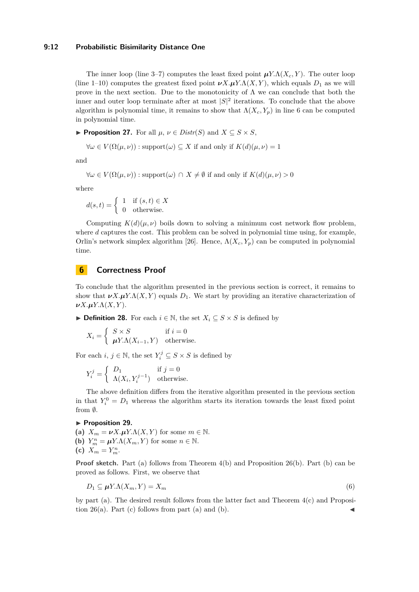### **9:12 Probabilistic Bisimilarity Distance One**

The inner loop (line 3–7) computes the least fixed point  $\mu Y.\Lambda(X_c, Y)$ . The outer loop (line 1–10) computes the greatest fixed point  $\nu X.\mu Y.\Lambda(X, Y)$ , which equals  $D_1$  as we will prove in the next section. Due to the monotonicity of  $\Lambda$  we can conclude that both the inner and outer loop terminate after at most  $|S|^2$  iterations. To conclude that the above algorithm is polynomial time, it remains to show that  $\Lambda(X_c, Y_p)$  in line 6 can be computed in polynomial time.

 $▶$  **Proposition 27.** For all *µ*, *ν* ∈ *Distr*(*S*) and *X* ⊆ *S* × *S*,

$$
\forall \omega \in V(\Omega(\mu, \nu)) : \text{support}(\omega) \subseteq X \text{ if and only if } K(d)(\mu, \nu) = 1
$$

and

$$
\forall \omega \in V(\Omega(\mu, \nu)) : \text{support}(\omega) \cap X \neq \emptyset \text{ if and only if } K(d)(\mu, \nu) > 0
$$

where

$$
d(s,t) = \begin{cases} 1 & \text{if } (s,t) \in X \\ 0 & \text{otherwise.} \end{cases}
$$

Computing  $K(d)(\mu, \nu)$  boils down to solving a minimum cost network flow problem, where *d* captures the cost. This problem can be solved in polynomial time using, for example, Orlin's network simplex algorithm [\[26\]](#page-16-12). Hence,  $\Lambda(X_c, Y_p)$  can be computed in polynomial time.

# **6 Correctness Proof**

To conclude that the algorithm presented in the previous section is correct, it remains to show that  $\nu X.\mu Y.\Lambda(X, Y)$  equals  $D_1$ . We start by providing an iterative characterization of *νX.µY.*Λ(*X, Y* ).

▶ **Definition 28.** For each  $i \in \mathbb{N}$ , the set  $X_i \subseteq S \times S$  is defined by

$$
X_i = \begin{cases} S \times S & \text{if } i = 0\\ \mu Y. \Lambda (X_{i-1}, Y) & \text{otherwise.} \end{cases}
$$

For each *i*,  $j \in \mathbb{N}$ , the set  $Y_i^j \subseteq S \times S$  is defined by

$$
Y_i^j = \begin{cases} D_1 & \text{if } j = 0\\ \Lambda(X_i, Y_i^{j-1}) & \text{otherwise.} \end{cases}
$$

The above definition differs from the iterative algorithm presented in the previous section in that  $Y_i^0 = D_1$  whereas the algorithm starts its iteration towards the least fixed point from  $\emptyset$ .

#### <span id="page-11-1"></span>▶ Proposition 29.

(a)  $X_m = \nu X \cdot \mu Y \cdot \Lambda(X, Y)$  for some  $m \in \mathbb{N}$ . **(b)**  $Y_m^n = \mu Y \cdot \Lambda(X_m, Y)$  for some  $n \in \mathbb{N}$ . (c)  $X_m = Y_m^n$ .

**Proof sketch.** Part (a) follows from Theorem [4\(](#page-3-3)b) and Proposition [26\(](#page-10-1)b). Part (b) can be proved as follows. First, we observe that

<span id="page-11-0"></span>
$$
D_1 \subseteq \mu Y. \Lambda(X_m, Y) = X_m \tag{6}
$$

by part (a). The desired result follows from the latter fact and Theorem [4\(](#page-3-3)c) and Proposition  $26(a)$ . Part (c) follows from part (a) and (b).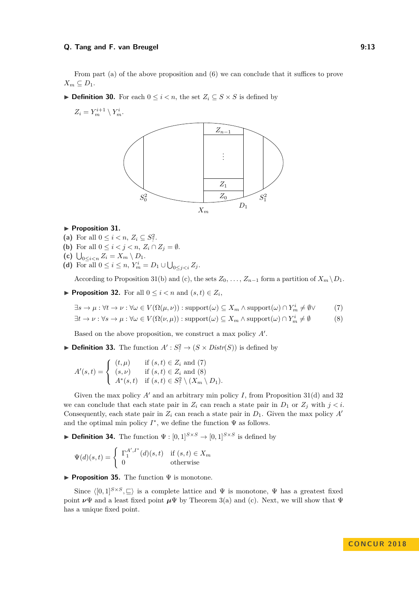#### **Q. Tang and F. van Breugel 19:23 (2018)** 13

From part (a) of the above proposition and [\(6\)](#page-11-0) we can conclude that it suffices to prove  $X_m \subseteq D_1$ .

- **► Definition 30.** For each  $0 \leq i \leq n$ , the set  $Z_i \subseteq S \times S$  is defined by
	- $Z_i = Y_m^{i+1} \setminus Y_m^i$ .



#### <span id="page-12-0"></span>▶ Proposition 31.

- (a) For all  $0 \le i < n, Z_i \subseteq S_?^2$ .
- (b) For all  $0 \leq i < j < n$ ,  $Z_i \cap Z_j = \emptyset$ .
- (c)  $\bigcup_{0 \leq i < n} Z_i = X_m \setminus D_1.$
- **(d)** For all  $0 \le i \le n$ ,  $Y_m^i = D_1 \cup \bigcup_{0 \le j < i} Z_j$ .

According to Proposition [31\(](#page-12-0)b) and (c), the sets  $Z_0, \ldots, Z_{n-1}$  form a partition of  $X_m \backslash D_1$ .

<span id="page-12-3"></span>▶ **Proposition 32.** For all  $0 \leq i < n$  and  $(s, t) \in Z_i$ ,

<span id="page-12-1"></span>
$$
\exists s \to \mu : \forall t \to \nu : \forall \omega \in V(\Omega(\mu, \nu)) : \text{support}(\omega) \subseteq X_m \land \text{support}(\omega) \cap Y_m^i \neq \emptyset \lor \tag{7}
$$

<span id="page-12-2"></span>
$$
\exists t \to \nu : \forall s \to \mu : \forall \omega \in V(\Omega(\nu, \mu)) : \text{support}(\omega) \subseteq X_m \land \text{support}(\omega) \cap Y_m^i \neq \emptyset \tag{8}
$$

Based on the above proposition, we construct a max policy A'.

**• Definition 33.** The function  $A': S^2 \to (S \times Distr(S))$  is defined by

$$
A'(s,t) = \begin{cases} (t,\mu) & \text{if } (s,t) \in Z_i \text{ and } (7) \\ (s,\nu) & \text{if } (s,t) \in Z_i \text{ and } (8) \\ A^*(s,t) & \text{if } (s,t) \in S_i^2 \setminus (X_m \setminus D_1). \end{cases}
$$

Given the max policy  $A'$  and an arbitrary min policy  $I$ , from Proposition [31\(](#page-12-0)d) and [32](#page-12-3) we can conclude that each state pair in  $Z_i$  can reach a state pair in  $D_1$  or  $Z_j$  with  $j < i$ . Consequently, each state pair in  $Z_i$  can reach a state pair in  $D_1$ . Given the max policy  $A'$ and the optimal min policy  $I^*$ , we define the function  $\Psi$  as follows.

**Definition 34.** The function  $\Psi : [0,1]^{S \times S} \to [0,1]^{S \times S}$  is defined by

$$
\Psi(d)(s,t) = \begin{cases} \Gamma_1^{A',I^*}(d)(s,t) & \text{if } (s,t) \in X_m \\ 0 & \text{otherwise} \end{cases}
$$

I **Proposition 35.** The function Ψ is monotone.

Since  $\langle [0, 1]^{S \times S}, \square \rangle$  is a complete lattice and  $\Psi$  is monotone,  $\Psi$  has a greatest fixed point  $\nu\Psi$  and a least fixed point  $\mu\Psi$  by Theorem [3\(](#page-3-0)a) and (c). Next, we will show that  $\Psi$ has a unique fixed point.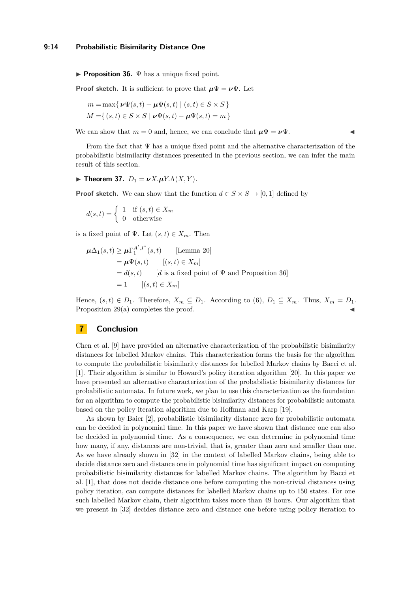<span id="page-13-0"></span>I **Proposition 36.** Ψ has a unique fixed point.

**Proof sketch.** It is sufficient to prove that  $\mu \Psi = \nu \Psi$ . Let

$$
m = \max \{ \nu \Psi(s, t) - \mu \Psi(s, t) \mid (s, t) \in S \times S \}
$$
  

$$
M = \{ (s, t) \in S \times S \mid \nu \Psi(s, t) - \mu \Psi(s, t) = m \}
$$

We can show that  $m = 0$  and, hence, we can conclude that  $\mu \Psi = \nu \Psi$ .

From the fact that  $\Psi$  has a unique fixed point and the alternative characterization of the probabilistic bisimilarity distances presented in the previous section, we can infer the main result of this section.

# **Find Theorem 37.**  $D_1 = \nu X \cdot \mu Y \cdot \Lambda(X, Y)$ .

**Proof sketch.** We can show that the function  $d \in S \times S \rightarrow [0, 1]$  defined by

$$
d(s,t) = \begin{cases} 1 & \text{if } (s,t) \in X_m \\ 0 & \text{otherwise} \end{cases}
$$

is a fixed point of  $\Psi$ . Let  $(s, t) \in X_m$ . Then

$$
\mu \Delta_1(s, t) \ge \mu \Gamma_1^{A', I^*}(s, t) \qquad \text{[Lemma 20]}
$$
  
=  $\mu \Psi(s, t) \qquad [(s, t) \in X_m]$   
=  $d(s, t) \qquad [d \text{ is a fixed point of } \Psi \text{ and Proposition 36}]$   
= 1  $[(s, t) \in X_m]$ 

Hence,  $(s, t) \in D_1$ . Therefore,  $X_m \subseteq D_1$ . According to [\(6\)](#page-11-0),  $D_1 \subseteq X_m$ . Thus,  $X_m = D_1$ . Proposition  $29(a)$  completes the proof.

# **7 Conclusion**

Chen et al. [\[9\]](#page-15-8) have provided an alternative characterization of the probabilistic bisimilarity distances for labelled Markov chains. This characterization forms the basis for the algorithm to compute the probabilistic bisimilarity distances for labelled Markov chains by Bacci et al. [\[1\]](#page-14-1). Their algorithm is similar to Howard's policy iteration algorithm [\[20\]](#page-15-16). In this paper we have presented an alternative characterization of the probabilistic bisimilarity distances for probabilistic automata. In future work, we plan to use this characterization as the foundation for an algorithm to compute the probabilistic bisimilarity distances for probabilistic automata based on the policy iteration algorithm due to Hoffman and Karp [\[19\]](#page-15-17).

As shown by Baier [\[2\]](#page-14-0), probabilistic bisimilarity distance zero for probabilistic automata can be decided in polynomial time. In this paper we have shown that distance one can also be decided in polynomial time. As a consequence, we can determine in polynomial time how many, if any, distances are non-trivial, that is, greater than zero and smaller than one. As we have already shown in [\[32\]](#page-16-6) in the context of labelled Markov chains, being able to decide distance zero and distance one in polynomial time has significant impact on computing probabilistic bisimilarity distances for labelled Markov chains. The algorithm by Bacci et al. [\[1\]](#page-14-1), that does not decide distance one before computing the non-trivial distances using policy iteration, can compute distances for labelled Markov chains up to 150 states. For one such labelled Markov chain, their algorithm takes more than 49 hours. Our algorithm that we present in [\[32\]](#page-16-6) decides distance zero and distance one before using policy iteration to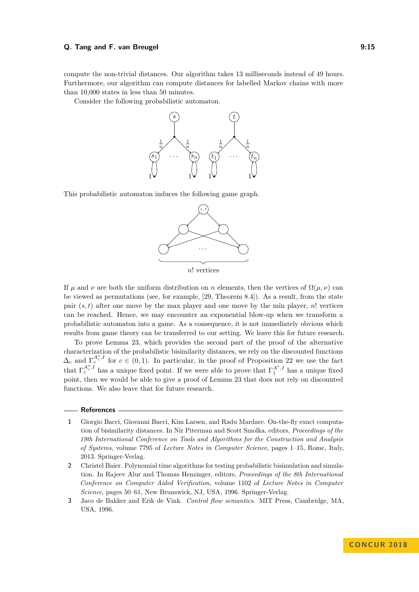#### **Q. Tang and F. van Breugel 19:20 and 19:20 and 19:20 and 19:20 and 19:20 and 19:20 and 19:20 and 19:20 and 19:20 and 19:20 and 19:20 and 19:20 and 19:20 and 19:20 and 19:20 and 19:20 and 19:20 and 19:20 and 19:20 and 19:2**

compute the non-trivial distances. Our algorithm takes 13 milliseconds instead of 49 hours. Furthermore, our algorithm can compute distances for labelled Markov chains with more than 10,000 states in less than 50 minutes.

Consider the following probabilistic automaton.



This probabilistic automaton induces the following game graph.



If *μ* and *ν* are both the uniform distribution on *n* elements, then the vertices of  $\Omega(\mu, \nu)$  can be viewed as permutations (see, for example, [\[29,](#page-16-13) Theorem 8.4]). As a result, from the state pair  $(s, t)$  after one move by the max player and one move by the min player,  $n!$  vertices can be reached. Hence, we may encounter an exponential blow-up when we transform a probabilistic automaton into a game. As a consequence, it is not immediately obvious which results from game theory can be transferred to our setting. We leave this for future research.

To prove Lemma [23,](#page-9-2) which provides the second part of the proof of the alternative characterization of the probabilistic bisimilarity distances, we rely on the discounted functions  $\Delta_c$  and  $\Gamma_c^{A_c^*,I}$  for  $c \in (0,1)$ . In particular, in the proof of Proposition [22](#page-8-1) we use the fact that  $\Gamma_c^{A_c^*,I}$  has a unique fixed point. If we were able to prove that  $\Gamma_1^{A^*,I}$  has a unique fixed point, then we would be able to give a proof of Lemma [23](#page-9-2) that does not rely on discounted functions. We also leave that for future research.

#### **References**

- <span id="page-14-1"></span>**1** Giorgio Bacci, Giovanni Bacci, Kim Larsen, and Radu Mardare. On-the-fly exact computation of bisimilarity distances. In Nir Piterman and Scott Smolka, editors, *Proceedings of the 19th International Conference on Tools and Algorithms for the Construction and Analysis of Systems*, volume 7795 of *Lecture Notes in Computer Science*, pages 1–15, Rome, Italy, 2013. Springer-Verlag.
- <span id="page-14-0"></span>**2** Christel Baier. Polynomial time algorithms for testing probabilistic bisimulation and simulation. In Rajeev Alur and Thomas Henzinger, editors, *Proceedings of the 8th International Conference on Computer Aided Verification*, volume 1102 of *Lecture Notes in Computer Science*, pages 50–61, New Brunswick, NJ, USA, 1996. Springer-Verlag.
- <span id="page-14-2"></span>**3** Jaco de Bakker and Erik de Vink. *Control flow semantics*. MIT Press, Cambridge, MA, USA, 1996.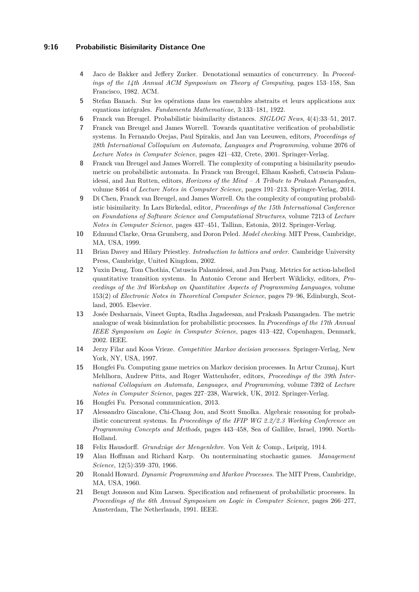# **9:16 Probabilistic Bisimilarity Distance One**

- <span id="page-15-3"></span>**4** Jaco de Bakker and Jeffery Zucker. Denotational semantics of concurrency. In *Proceedings of the 14th Annual ACM Symposium on Theory of Computing*, pages 153–158, San Francisco, 1982. ACM.
- <span id="page-15-12"></span>**5** Stefan Banach. Sur les opérations dans les ensembles abstraits et leurs applications aux equations intégrales. *Fundamenta Mathematicae*, 3:133–181, 1922.
- <span id="page-15-14"></span>**6** Franck van Breugel. Probabilistic bisimilarity distances. *SIGLOG News*, 4(4):33–51, 2017.
- <span id="page-15-4"></span>**7** Franck van Breugel and James Worrell. Towards quantitative verification of probabilistic systems. In Fernando Orejas, Paul Spirakis, and Jan van Leeuwen, editors, *Proceedings of 28th International Colloquium on Automata, Languages and Programming*, volume 2076 of *Lecture Notes in Computer Science*, pages 421–432, Crete, 2001. Springer-Verlag.
- <span id="page-15-7"></span>**8** Franck van Breugel and James Worrell. The complexity of computing a bisimilarity pseudometric on probabilistic automata. In Franck van Breugel, Elham Kashefi, Catuscia Palamidessi, and Jan Rutten, editors, *Horizons of the Mind – A Tribute to Prakash Panangaden*, volume 8464 of *Lecture Notes in Computer Science*, pages 191–213. Springer-Verlag, 2014.
- <span id="page-15-8"></span>**9** Di Chen, Franck van Breugel, and James Worrell. On the complexity of computing probabilistic bisimilarity. In Lars Birkedal, editor, *Proceedings of the 15th International Conference on Foundations of Software Science and Computational Structures*, volume 7213 of *Lecture Notes in Computer Science*, pages 437–451, Tallinn, Estonia, 2012. Springer-Verlag.
- <span id="page-15-11"></span>**10** Edmund Clarke, Orna Grumberg, and Doron Peled. *Model checking*. MIT Press, Cambridge, MA, USA, 1999.
- <span id="page-15-9"></span>**11** Brian Davey and Hilary Priestley. *Introduction to lattices and order*. Cambridge University Press, Cambridge, United Kingdom, 2002.
- <span id="page-15-1"></span>**12** Yuxin Deng, Tom Chothia, Catuscia Palamidessi, and Jun Pang. Metrics for action-labelled quantitative transition systems. In Antonio Cerone and Herbert Wiklicky, editors, *Proceedings of the 3rd Workshop on Quantitative Aspects of Programming Languages*, volume 153(2) of *Electronic Notes in Theoretical Computer Science*, pages 79–96, Edinburgh, Scotland, 2005. Elsevier.
- <span id="page-15-10"></span>**13** Josée Desharnais, Vineet Gupta, Radha Jagadeesan, and Prakash Panangaden. The metric analogue of weak bisimulation for probabilistic processes. In *Proceedings of the 17th Annual IEEE Symposium on Logic in Computer Science*, pages 413–422, Copenhagen, Denmark, 2002. IEEE.
- <span id="page-15-15"></span>**14** Jerzy Filar and Koos Vrieze. *Competitive Markov decision processes*. Springer-Verlag, New York, NY, USA, 1997.
- <span id="page-15-5"></span>**15** Hongfei Fu. Computing game metrics on Markov decision processes. In Artur Czumaj, Kurt Mehlhorn, Andrew Pitts, and Roger Wattenhofer, editors, *Proceedings of the 39th International Colloquium on Automata, Languages, and Programming*, volume 7392 of *Lecture Notes in Computer Science*, pages 227–238, Warwick, UK, 2012. Springer-Verlag.
- <span id="page-15-6"></span>**16** Hongfei Fu. Personal communication, 2013.
- <span id="page-15-0"></span>**17** Alessandro Giacalone, Chi-Chang Jou, and Scott Smolka. Algebraic reasoning for probabilistic concurrent systems. In *Proceedings of the IFIP WG 2.2/2.3 Working Conference on Programming Concepts and Methods*, pages 443–458, Sea of Gallilee, Israel, 1990. North-Holland.
- <span id="page-15-2"></span>**18** Felix Hausdorff. *Grundzüge der Mengenlehre*. Von Veit & Comp., Leipzig, 1914.
- <span id="page-15-17"></span>**19** Alan Hoffman and Richard Karp. On nonterminating stochastic games. *Management Science*, 12(5):359–370, 1966.
- <span id="page-15-16"></span>**20** Ronald Howard. *Dynamic Programming and Markov Processes*. The MIT Press, Cambridge, MA, USA, 1960.
- <span id="page-15-13"></span>**21** Bengt Jonsson and Kim Larsen. Specification and refinement of probabilistic processes. In *Proceedings of the 6th Annual Symposium on Logic in Computer Science*, pages 266–277, Amsterdam, The Netherlands, 1991. IEEE.